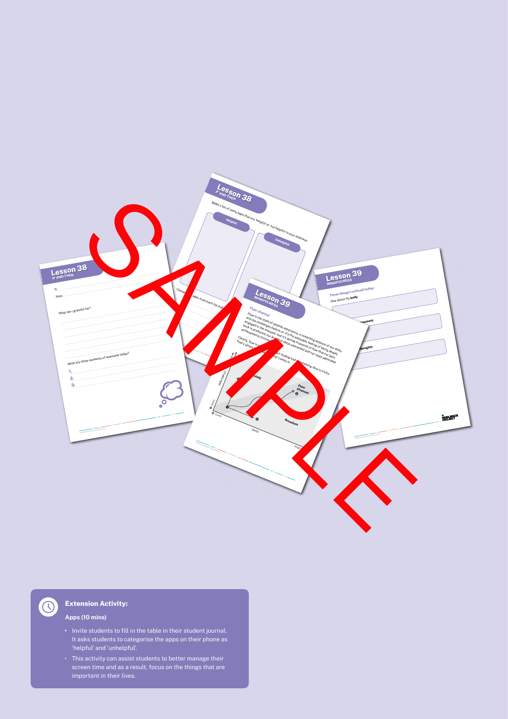

# **Extension Activity:**

## **Apps (10 mins)**

 $\bigcirc$ 

- **•** Invite students to fill in the table in their student journal. It asks students to categorise the apps on their phone as 'helpful' and 'unhelpful'.
- This activity can assist students to better manage their screen time and as a result, focus on the things that are important in their lives.